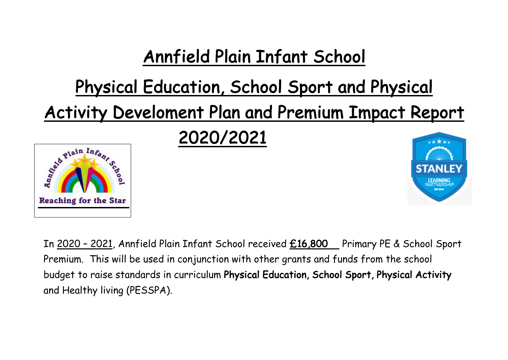## Annfield Plain Infant School

## Physical Education, School Sport and Physical

Activity Develoment Plan and Premium Impact Report



2020/2021



In 2020 - 2021, Annfield Plain Infant School received £16,800 Primary PE & School Sport Premium. This will be used in conjunction with other grants and funds from the school budget to raise standards in curriculum Physical Education, School Sport, Physical Activity and Healthy living (PESSPA).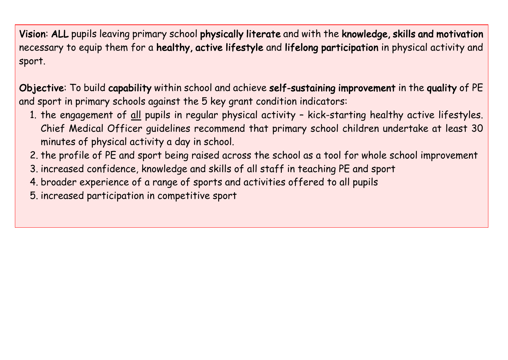Vision: ALL pupils leaving primary school physically literate and with the knowledge, skills and motivation necessary to equip them for a healthy, active lifestyle and lifelong participation in physical activity and sport.

Objective: To build capability within school and achieve self-sustaining improvement in the quality of PE and sport in primary schools against the 5 key grant condition indicators:

- 1. the engagement of all pupils in regular physical activity kick-starting healthy active lifestyles. Chief Medical Officer guidelines recommend that primary school children undertake at least 30 minutes of physical activity a day in school.
- 2. the profile of PE and sport being raised across the school as a tool for whole school improvement
- 3. increased confidence, knowledge and skills of all staff in teaching PE and sport
- 4. broader experience of a range of sports and activities offered to all pupils
- 5. increased participation in competitive sport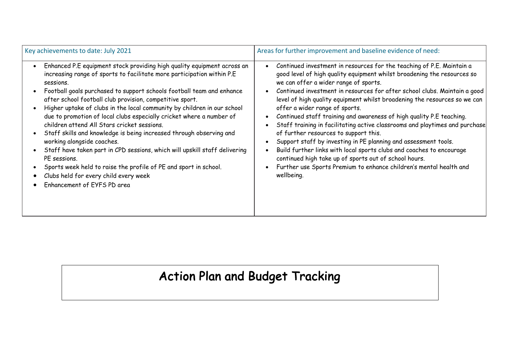| Key achievements to date: July 2021                                                                                                                                                                                                                                                                                                                                                                                                                                                                                                                                                                                                                                                                                                                                                                                                                  | Areas for further improvement and baseline evidence of need:                                                                                                                                                                                                                                                                                                                                                                                                                                                                                                                                                                                                                                                                                                                                                                                                                  |
|------------------------------------------------------------------------------------------------------------------------------------------------------------------------------------------------------------------------------------------------------------------------------------------------------------------------------------------------------------------------------------------------------------------------------------------------------------------------------------------------------------------------------------------------------------------------------------------------------------------------------------------------------------------------------------------------------------------------------------------------------------------------------------------------------------------------------------------------------|-------------------------------------------------------------------------------------------------------------------------------------------------------------------------------------------------------------------------------------------------------------------------------------------------------------------------------------------------------------------------------------------------------------------------------------------------------------------------------------------------------------------------------------------------------------------------------------------------------------------------------------------------------------------------------------------------------------------------------------------------------------------------------------------------------------------------------------------------------------------------------|
| Enhanced P.E equipment stock providing high quality equipment across an<br>increasing range of sports to facilitate more participation within P.E<br>sessions.<br>Football goals purchased to support schools football team and enhance<br>after school football club provision, competitive sport.<br>Higher uptake of clubs in the local community by children in our school<br>due to promotion of local clubs especially cricket where a number of<br>children attend All Stars cricket sessions.<br>Staff skills and knowledge is being increased through observing and<br>working alongside coaches.<br>Staff have taken part in CPD sessions, which will upskill staff delivering<br>PE sessions.<br>Sports week held to raise the profile of PE and sport in school.<br>Clubs held for every child every week<br>Enhancement of EYFS PD area | Continued investment in resources for the teaching of P.E. Maintain a<br>good level of high quality equipment whilst broadening the resources so<br>we can offer a wider range of sports.<br>Continued investment in resources for after school clubs. Maintain a good<br>level of high quality equipment whilst broadening the resources so we can<br>offer a wider range of sports.<br>Continued staff training and awareness of high quality P.E teaching.<br>Staff training in facilitating active classrooms and playtimes and purchase<br>of further resources to support this.<br>Support staff by investing in PE planning and assessment tools.<br>Build further links with local sports clubs and coaches to encourage<br>continued high take up of sports out of school hours.<br>Further use Sports Premium to enhance children's mental health and<br>wellbeing. |

## Action Plan and Budget Tracking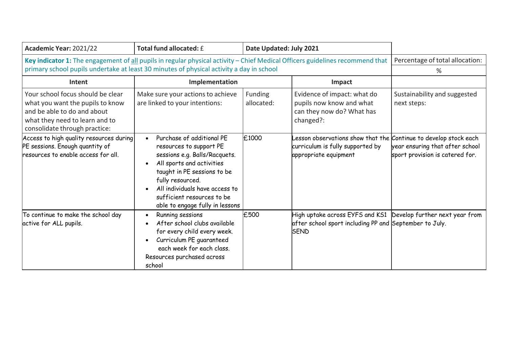| Academic Year: 2021/22                                                                                                                                                                                                    | Total fund allocated: £                                                                                                                                                                                                                                                  | Date Updated: July 2021 |                                                                                                                                         |                                                                    |
|---------------------------------------------------------------------------------------------------------------------------------------------------------------------------------------------------------------------------|--------------------------------------------------------------------------------------------------------------------------------------------------------------------------------------------------------------------------------------------------------------------------|-------------------------|-----------------------------------------------------------------------------------------------------------------------------------------|--------------------------------------------------------------------|
| Key indicator 1: The engagement of all pupils in regular physical activity - Chief Medical Officers guidelines recommend that<br>primary school pupils undertake at least 30 minutes of physical activity a day in school |                                                                                                                                                                                                                                                                          |                         | Percentage of total allocation:<br>%                                                                                                    |                                                                    |
| Intent                                                                                                                                                                                                                    | Implementation                                                                                                                                                                                                                                                           |                         | Impact                                                                                                                                  |                                                                    |
| Your school focus should be clear<br>what you want the pupils to know<br>and be able to do and about<br>what they need to learn and to<br>consolidate through practice:                                                   | Make sure your actions to achieve<br>are linked to your intentions:                                                                                                                                                                                                      | Funding<br>allocated:   | Evidence of impact: what do<br>pupils now know and what<br>can they now do? What has<br>changed?:                                       | Sustainability and suggested<br>next steps:                        |
| Access to high quality resources during<br>PE sessions. Enough quantity of<br>resources to enable access for all.                                                                                                         | Purchase of additional PE<br>resources to support PE<br>sessions e.g. Balls/Racquets.<br>All sports and activities<br>taught in PE sessions to be<br>fully resourced.<br>All individuals have access to<br>sufficient resources to be<br>able to engage fully in lessons | £1000                   | esson observations show that the Continue to develop stock each<br>curriculum is fully supported by<br>appropriate equipment            | year ensuring that after school<br>sport provision is catered for. |
| To continue to make the school day<br>active for ALL pupils.                                                                                                                                                              | Running sessions<br>After school clubs available<br>for every child every week.<br>Curriculum PE guaranteed<br>each week for each class.<br>Resources purchased across<br>school                                                                                         | £500                    | High uptake across EYFS and KS1 Develop further next year from<br>after school sport including PP and September to July.<br><b>SEND</b> |                                                                    |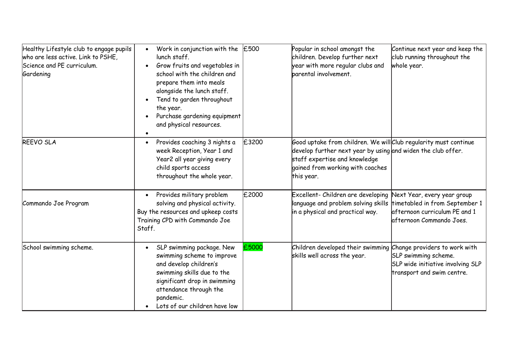| Healthy Lifestyle club to engage pupils<br>who are less active. Link to PSHE,<br>Science and PE curriculum.<br>Gardening | Work in conjunction with the $\vert$ £500<br>lunch staff.<br>Grow fruits and vegetables in<br>school with the children and<br>prepare them into meals<br>alongside the lunch staff.<br>Tend to garden throughout<br>the year.<br>Purchase gardening equipment<br>and physical resources. |       | Popular in school amongst the<br>children. Develop further next<br>year with more regular clubs and<br>parental involvement.                                                                                        | Continue next year and keep the<br>club running throughout the<br>whole year.                                              |
|--------------------------------------------------------------------------------------------------------------------------|------------------------------------------------------------------------------------------------------------------------------------------------------------------------------------------------------------------------------------------------------------------------------------------|-------|---------------------------------------------------------------------------------------------------------------------------------------------------------------------------------------------------------------------|----------------------------------------------------------------------------------------------------------------------------|
| <b>REEVO SLA</b>                                                                                                         | Provides coaching 3 nights a<br>week Reception, Year 1 and<br>Year2 all year giving every<br>child sports access<br>throughout the whole year.                                                                                                                                           | £3200 | Good uptake from children. We will Club regularity must continue<br>develop further next year by using and widen the club offer.<br>staff expertise and knowledge<br>gained from working with coaches<br>this year. |                                                                                                                            |
| Commando Joe Program                                                                                                     | Provides military problem<br>solving and physical activity.<br>Buy the resources and upkeep costs<br>Training CPD with Commando Joe<br>Staff.                                                                                                                                            | £2000 | Excellent- Children are developing<br>language and problem solving skills<br>in a physical and practical way.                                                                                                       | Vext Year, every year group<br>timetabled in from September 1<br>afternoon curriculum PE and 1<br>afternoon Commando Joes. |
| School swimming scheme.                                                                                                  | SLP swimming package. New<br>swimming scheme to improve<br>and develop children's<br>swimming skills due to the<br>significant drop in swimming<br>attendance through the<br>pandemic.<br>Lots of our children have low                                                                  | £5000 | Children developed their swimming Change providers to work with<br>skills well across the year.                                                                                                                     | SLP swimming scheme.<br>SLP wide initiative involving SLP<br>transport and swim centre.                                    |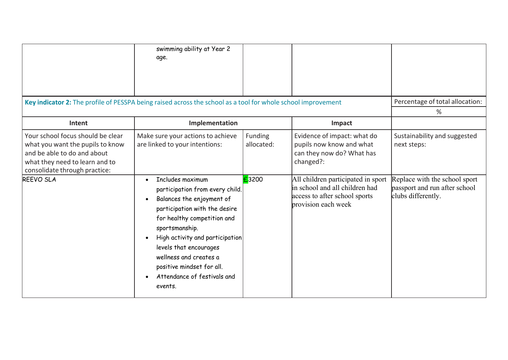|                                                                                                                                                                         | swimming ability at Year 2<br>age.                                                                                                                                                                                                                                                                                                                         |                       |                                                                                                                              |                                                                                      |
|-------------------------------------------------------------------------------------------------------------------------------------------------------------------------|------------------------------------------------------------------------------------------------------------------------------------------------------------------------------------------------------------------------------------------------------------------------------------------------------------------------------------------------------------|-----------------------|------------------------------------------------------------------------------------------------------------------------------|--------------------------------------------------------------------------------------|
| Key indicator 2: The profile of PESSPA being raised across the school as a tool for whole school improvement                                                            |                                                                                                                                                                                                                                                                                                                                                            |                       |                                                                                                                              | Percentage of total allocation:<br>%                                                 |
| Intent                                                                                                                                                                  | Implementation                                                                                                                                                                                                                                                                                                                                             |                       | Impact                                                                                                                       |                                                                                      |
| Your school focus should be clear<br>what you want the pupils to know<br>and be able to do and about<br>what they need to learn and to<br>consolidate through practice: | Make sure your actions to achieve<br>are linked to your intentions:                                                                                                                                                                                                                                                                                        | Funding<br>allocated: | Evidence of impact: what do<br>pupils now know and what<br>can they now do? What has<br>changed?:                            | Sustainability and suggested<br>next steps:                                          |
| <b>REEVO SLA</b>                                                                                                                                                        | Includes maximum<br>$\bullet$<br>participation from every child.<br>Balances the enjoyment of<br>$\bullet$<br>participation with the desire<br>for healthy competition and<br>sportsmanship.<br>High activity and participation<br>levels that encourages<br>wellness and creates a<br>positive mindset for all.<br>Attendance of festivals and<br>events. | £3200                 | All children participated in sport<br>in school and all children had<br>access to after school sports<br>provision each week | Replace with the school sport<br>passport and run after school<br>clubs differently. |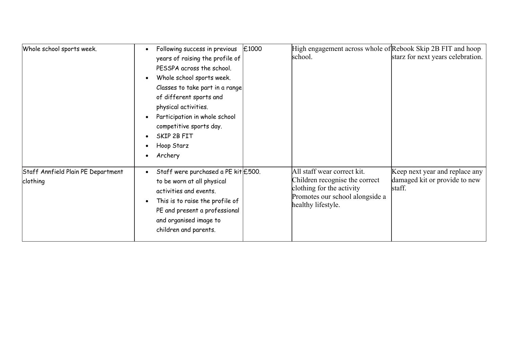| Whole school sports week.                      | Following success in previous<br>years of raising the profile of<br>PESSPA across the school.<br>Whole school sports week.<br>Classes to take part in a range<br>of different sports and<br>physical activities.<br>Participation in whole school<br>competitive sports day.<br>SKIP 2B FIT<br>Hoop Starz<br>Archery | £1000 | High engagement across whole of Rebook Skip 2B FIT and hoop<br>school.                                                                              | starz for next years celebration.                                         |
|------------------------------------------------|----------------------------------------------------------------------------------------------------------------------------------------------------------------------------------------------------------------------------------------------------------------------------------------------------------------------|-------|-----------------------------------------------------------------------------------------------------------------------------------------------------|---------------------------------------------------------------------------|
| Staff Annfield Plain PE Department<br>clothing | Staff were purchased a PE kit E500.<br>to be worn at all physical<br>activities and events.<br>This is to raise the profile of<br>PE and present a professional<br>and organised image to<br>children and parents.                                                                                                   |       | All staff wear correct kit.<br>Children recognise the correct<br>clothing for the activity<br>Promotes our school alongside a<br>healthy lifestyle. | Keep next year and replace any<br>damaged kit or provide to new<br>staff. |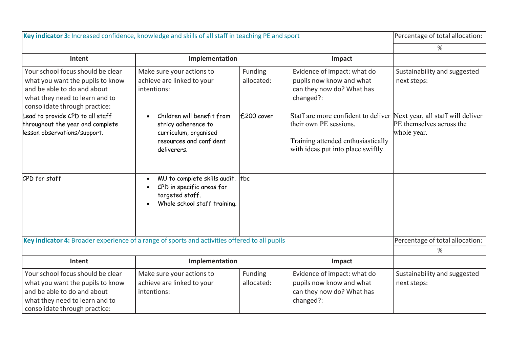| Key indicator 3: Increased confidence, knowledge and skills of all staff in teaching PE and sport                                                                       |                                                                                                                                   |                       | Percentage of total allocation:                                                                                                                                             |                                             |
|-------------------------------------------------------------------------------------------------------------------------------------------------------------------------|-----------------------------------------------------------------------------------------------------------------------------------|-----------------------|-----------------------------------------------------------------------------------------------------------------------------------------------------------------------------|---------------------------------------------|
|                                                                                                                                                                         |                                                                                                                                   |                       |                                                                                                                                                                             | %                                           |
| Intent                                                                                                                                                                  | Implementation                                                                                                                    |                       | Impact                                                                                                                                                                      |                                             |
| Your school focus should be clear<br>what you want the pupils to know<br>and be able to do and about<br>what they need to learn and to<br>consolidate through practice: | Make sure your actions to<br>achieve are linked to your<br>intentions:                                                            | Funding<br>allocated: | Evidence of impact: what do<br>pupils now know and what<br>can they now do? What has<br>changed?:                                                                           | Sustainability and suggested<br>next steps: |
| Lead to provide CPD to all staff<br>throughout the year and complete<br>lesson observations/support.                                                                    | Children will benefit from<br>$\bullet$<br>stricy adherence to<br>curriculum, organised<br>resources and confident<br>deliverers. | £200 cover            | Staff are more confident to deliver Next year, all staff will deliver<br>their own PE sessions.<br>Training attended enthusiastically<br>with ideas put into place swiftly. | PE themselves across the<br>whole year.     |
| CPD for staff                                                                                                                                                           | MU to complete skills audit.  tbc<br>$\bullet$<br>CPD in specific areas for<br>targeted staff.<br>Whole school staff training.    |                       |                                                                                                                                                                             |                                             |
| Key indicator 4: Broader experience of a range of sports and activities offered to all pupils                                                                           |                                                                                                                                   |                       |                                                                                                                                                                             | Percentage of total allocation:             |
|                                                                                                                                                                         |                                                                                                                                   |                       |                                                                                                                                                                             | %                                           |
| Intent                                                                                                                                                                  | Implementation                                                                                                                    |                       | Impact                                                                                                                                                                      |                                             |
| Your school focus should be clear<br>what you want the pupils to know<br>and be able to do and about<br>what they need to learn and to<br>consolidate through practice: | Make sure your actions to<br>achieve are linked to your<br>intentions:                                                            | Funding<br>allocated: | Evidence of impact: what do<br>pupils now know and what<br>can they now do? What has<br>changed?:                                                                           | Sustainability and suggested<br>next steps: |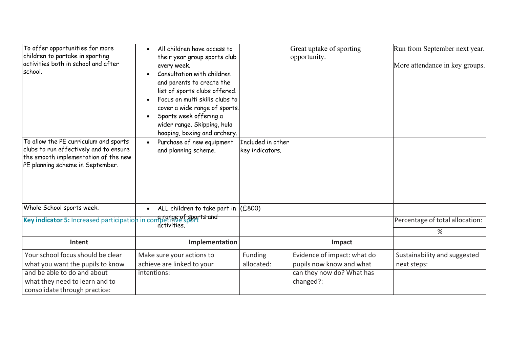| To offer opportunities for more<br>children to partake in sporting<br>activities both in school and after<br>school.                                        | All children have access to<br>their year group sports club<br>every week.<br>Consultation with children<br>and parents to create the<br>list of sports clubs offered.<br>Focus on multi skills clubs to<br>$\bullet$<br>cover a wide range of sports.<br>Sports week offering a<br>$\bullet$<br>wider range. Skipping, hula<br>hooping, boxing and archery. |                                      | Great uptake of sporting<br>opportunity.                                                          | Run from September next year.<br>More attendance in key groups. |
|-------------------------------------------------------------------------------------------------------------------------------------------------------------|--------------------------------------------------------------------------------------------------------------------------------------------------------------------------------------------------------------------------------------------------------------------------------------------------------------------------------------------------------------|--------------------------------------|---------------------------------------------------------------------------------------------------|-----------------------------------------------------------------|
| To allow the PE curriculum and sports<br>clubs to run effectively and to ensure<br>the smooth implementation of the new<br>PE planning scheme in September. | Purchase of new equipment<br>$\bullet$<br>and planning scheme.                                                                                                                                                                                                                                                                                               | Included in other<br>key indicators. |                                                                                                   |                                                                 |
| Whole School sports week.                                                                                                                                   | ALL children to take part in $(£800)$<br>$\bullet$                                                                                                                                                                                                                                                                                                           |                                      |                                                                                                   |                                                                 |
| Key indicator 5: Increased participation in competitive sports and                                                                                          | activities                                                                                                                                                                                                                                                                                                                                                   |                                      |                                                                                                   | Percentage of total allocation:<br>%                            |
| Intent                                                                                                                                                      | Implementation                                                                                                                                                                                                                                                                                                                                               |                                      | Impact                                                                                            |                                                                 |
| Your school focus should be clear<br>what you want the pupils to know<br>and be able to do and about<br>what they need to learn and to                      | Make sure your actions to<br>achieve are linked to your<br>intentions:                                                                                                                                                                                                                                                                                       | Funding<br>allocated:                | Evidence of impact: what do<br>pupils now know and what<br>can they now do? What has<br>changed?: | Sustainability and suggested<br>next steps:                     |
| consolidate through practice:                                                                                                                               |                                                                                                                                                                                                                                                                                                                                                              |                                      |                                                                                                   |                                                                 |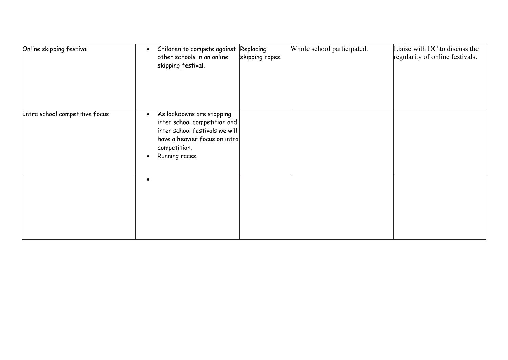| Online skipping festival       | Children to compete against Replacing<br>$\bullet$<br>other schools in an online<br>skipping festival.                                                                      | skipping ropes. | Whole school participated. | Liaise with DC to discuss the<br>regularity of online festivals. |
|--------------------------------|-----------------------------------------------------------------------------------------------------------------------------------------------------------------------------|-----------------|----------------------------|------------------------------------------------------------------|
| Intra school competitive focus | As lockdowns are stopping<br>$\bullet$<br>inter school competition and<br>inter school festivals we will<br>have a heavier focus on intra<br>competition.<br>Running races. |                 |                            |                                                                  |
|                                | $\bullet$                                                                                                                                                                   |                 |                            |                                                                  |